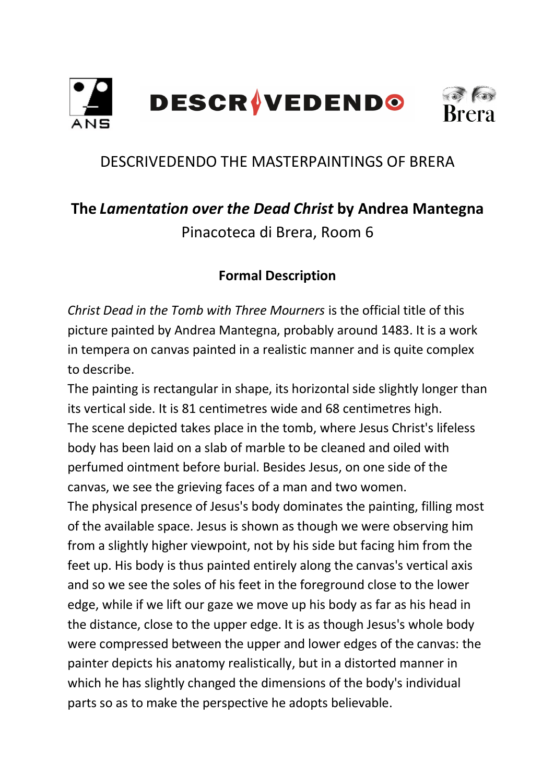

## DESCRIVEDENDO THE MASTERPAINTINGS OF BRERA

# **The** *Lamentation over the Dead Christ* **by Andrea Mantegna** Pinacoteca di Brera, Room 6

### **Formal Description**

*Christ Dead in the Tomb with Three Mourners* is the official title of this picture painted by Andrea Mantegna, probably around 1483. It is a work in tempera on canvas painted in a realistic manner and is quite complex to describe.

The painting is rectangular in shape, its horizontal side slightly longer than its vertical side. It is 81 centimetres wide and 68 centimetres high. The scene depicted takes place in the tomb, where Jesus Christ's lifeless body has been laid on a slab of marble to be cleaned and oiled with perfumed ointment before burial. Besides Jesus, on one side of the canvas, we see the grieving faces of a man and two women. The physical presence of Jesus's body dominates the painting, filling most of the available space. Jesus is shown as though we were observing him from a slightly higher viewpoint, not by his side but facing him from the feet up. His body is thus painted entirely along the canvas's vertical axis and so we see the soles of his feet in the foreground close to the lower edge, while if we lift our gaze we move up his body as far as his head in the distance, close to the upper edge. It is as though Jesus's whole body were compressed between the upper and lower edges of the canvas: the painter depicts his anatomy realistically, but in a distorted manner in which he has slightly changed the dimensions of the body's individual parts so as to make the perspective he adopts believable.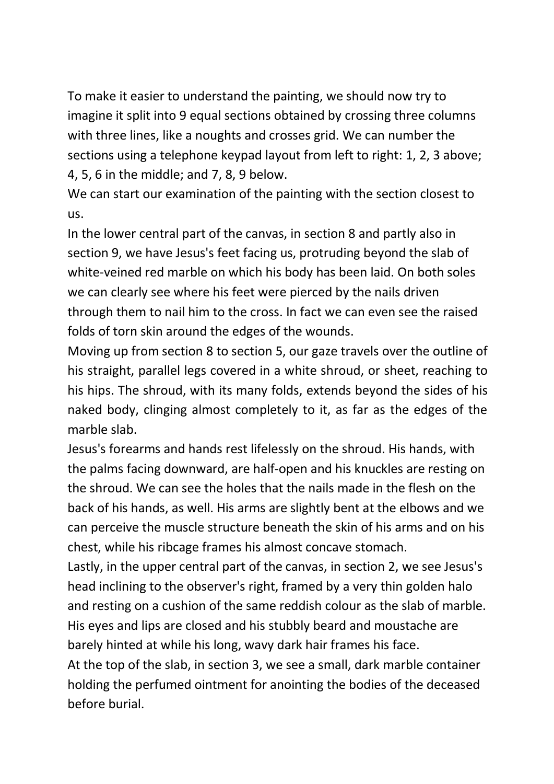To make it easier to understand the painting, we should now try to imagine it split into 9 equal sections obtained by crossing three columns with three lines, like a noughts and crosses grid. We can number the sections using a telephone keypad layout from left to right: 1, 2, 3 above; 4, 5, 6 in the middle; and 7, 8, 9 below.

We can start our examination of the painting with the section closest to us.

In the lower central part of the canvas, in section 8 and partly also in section 9, we have Jesus's feet facing us, protruding beyond the slab of white-veined red marble on which his body has been laid. On both soles we can clearly see where his feet were pierced by the nails driven through them to nail him to the cross. In fact we can even see the raised folds of torn skin around the edges of the wounds.

Moving up from section 8 to section 5, our gaze travels over the outline of his straight, parallel legs covered in a white shroud, or sheet, reaching to his hips. The shroud, with its many folds, extends beyond the sides of his naked body, clinging almost completely to it, as far as the edges of the marble slab.

Jesus's forearms and hands rest lifelessly on the shroud. His hands, with the palms facing downward, are half-open and his knuckles are resting on the shroud. We can see the holes that the nails made in the flesh on the back of his hands, as well. His arms are slightly bent at the elbows and we can perceive the muscle structure beneath the skin of his arms and on his chest, while his ribcage frames his almost concave stomach.

Lastly, in the upper central part of the canvas, in section 2, we see Jesus's head inclining to the observer's right, framed by a very thin golden halo and resting on a cushion of the same reddish colour as the slab of marble. His eyes and lips are closed and his stubbly beard and moustache are barely hinted at while his long, wavy dark hair frames his face.

At the top of the slab, in section 3, we see a small, dark marble container holding the perfumed ointment for anointing the bodies of the deceased before burial.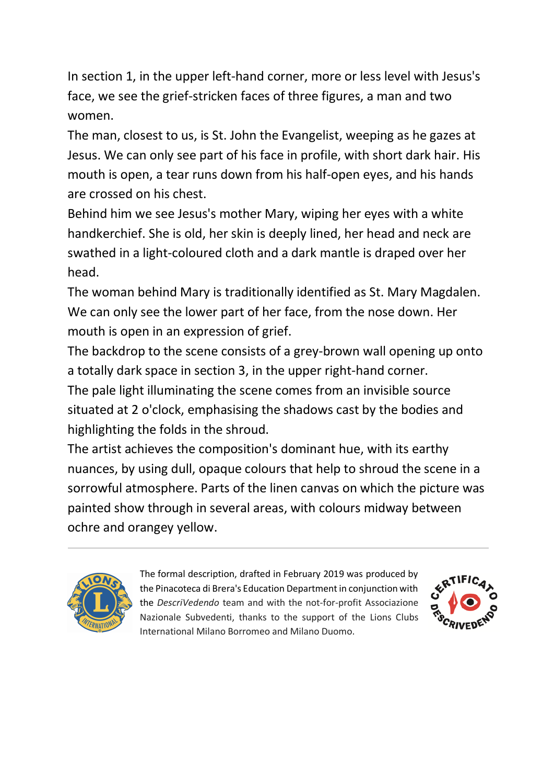In section 1, in the upper left-hand corner, more or less level with Jesus's face, we see the grief-stricken faces of three figures, a man and two women.

The man, closest to us, is St. John the Evangelist, weeping as he gazes at Jesus. We can only see part of his face in profile, with short dark hair. His mouth is open, a tear runs down from his half-open eyes, and his hands are crossed on his chest.

Behind him we see Jesus's mother Mary, wiping her eyes with a white handkerchief. She is old, her skin is deeply lined, her head and neck are swathed in a light-coloured cloth and a dark mantle is draped over her head.

The woman behind Mary is traditionally identified as St. Mary Magdalen. We can only see the lower part of her face, from the nose down. Her mouth is open in an expression of grief.

The backdrop to the scene consists of a grey-brown wall opening up onto a totally dark space in section 3, in the upper right-hand corner.

The pale light illuminating the scene comes from an invisible source situated at 2 o'clock, emphasising the shadows cast by the bodies and highlighting the folds in the shroud.

The artist achieves the composition's dominant hue, with its earthy nuances, by using dull, opaque colours that help to shroud the scene in a sorrowful atmosphere. Parts of the linen canvas on which the picture was painted show through in several areas, with colours midway between ochre and orangey yellow.



The formal description, drafted in February 2019 was produced by the Pinacoteca di Brera's Education Departmentin conjunction with the *DescriVedendo* team and with the not-for-profit Associazione Nazionale Subvedenti, thanks to the support of the Lions Clubs International Milano Borromeo and Milano Duomo.

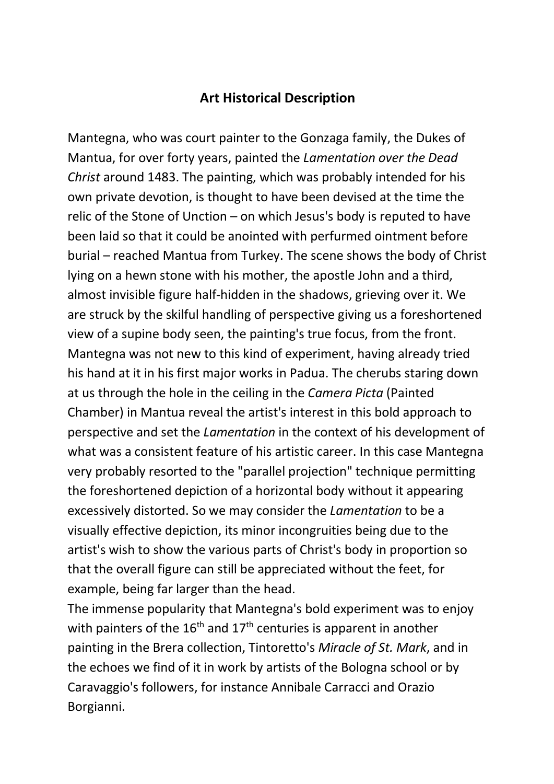#### **Art Historical Description**

Mantegna, who was court painter to the Gonzaga family, the Dukes of Mantua, for over forty years, painted the *Lamentation over the Dead Christ* around 1483. The painting, which was probably intended for his own private devotion, is thought to have been devised at the time the relic of the Stone of Unction – on which Jesus's body is reputed to have been laid so that it could be anointed with perfurmed ointment before burial – reached Mantua from Turkey. The scene shows the body of Christ lying on a hewn stone with his mother, the apostle John and a third, almost invisible figure half-hidden in the shadows, grieving over it. We are struck by the skilful handling of perspective giving us a foreshortened view of a supine body seen, the painting's true focus, from the front. Mantegna was not new to this kind of experiment, having already tried his hand at it in his first major works in Padua. The cherubs staring down at us through the hole in the ceiling in the *Camera Picta* (Painted Chamber) in Mantua reveal the artist's interest in this bold approach to perspective and set the *Lamentation* in the context of his development of what was a consistent feature of his artistic career. In this case Mantegna very probably resorted to the "parallel projection" technique permitting the foreshortened depiction of a horizontal body without it appearing excessively distorted. So we may consider the *Lamentation* to be a visually effective depiction, its minor incongruities being due to the artist's wish to show the various parts of Christ's body in proportion so that the overall figure can still be appreciated without the feet, for example, being far larger than the head.

The immense popularity that Mantegna's bold experiment was to enjoy with painters of the  $16<sup>th</sup>$  and  $17<sup>th</sup>$  centuries is apparent in another painting in the Brera collection, Tintoretto's *Miracle of St. Mark*, and in the echoes we find of it in work by artists of the Bologna school or by Caravaggio's followers, for instance Annibale Carracci and Orazio Borgianni.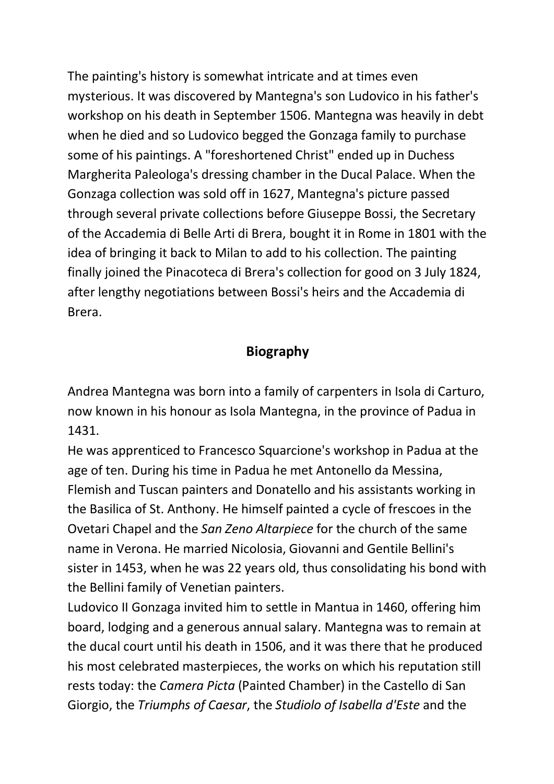The painting's history is somewhat intricate and at times even mysterious. It was discovered by Mantegna's son Ludovico in his father's workshop on his death in September 1506. Mantegna was heavily in debt when he died and so Ludovico begged the Gonzaga family to purchase some of his paintings. A "foreshortened Christ" ended up in Duchess Margherita Paleologa's dressing chamber in the Ducal Palace. When the Gonzaga collection was sold off in 1627, Mantegna's picture passed through several private collections before Giuseppe Bossi, the Secretary of the Accademia di Belle Arti di Brera, bought it in Rome in 1801 with the idea of bringing it back to Milan to add to his collection. The painting finally joined the Pinacoteca di Brera's collection for good on 3 July 1824, after lengthy negotiations between Bossi's heirs and the Accademia di Brera.

### **Biography**

Andrea Mantegna was born into a family of carpenters in Isola di Carturo, now known in his honour as Isola Mantegna, in the province of Padua in 1431.

He was apprenticed to Francesco Squarcione's workshop in Padua at the age of ten. During his time in Padua he met Antonello da Messina, Flemish and Tuscan painters and Donatello and his assistants working in the Basilica of St. Anthony. He himself painted a cycle of frescoes in the Ovetari Chapel and the *San Zeno Altarpiece* for the church of the same name in Verona. He married Nicolosia, Giovanni and Gentile Bellini's sister in 1453, when he was 22 years old, thus consolidating his bond with the Bellini family of Venetian painters.

Ludovico II Gonzaga invited him to settle in Mantua in 1460, offering him board, lodging and a generous annual salary. Mantegna was to remain at the ducal court until his death in 1506, and it was there that he produced his most celebrated masterpieces, the works on which his reputation still rests today: the *Camera Picta* (Painted Chamber) in the Castello di San Giorgio, the *Triumphs of Caesar*, the *Studiolo of Isabella d'Este* and the